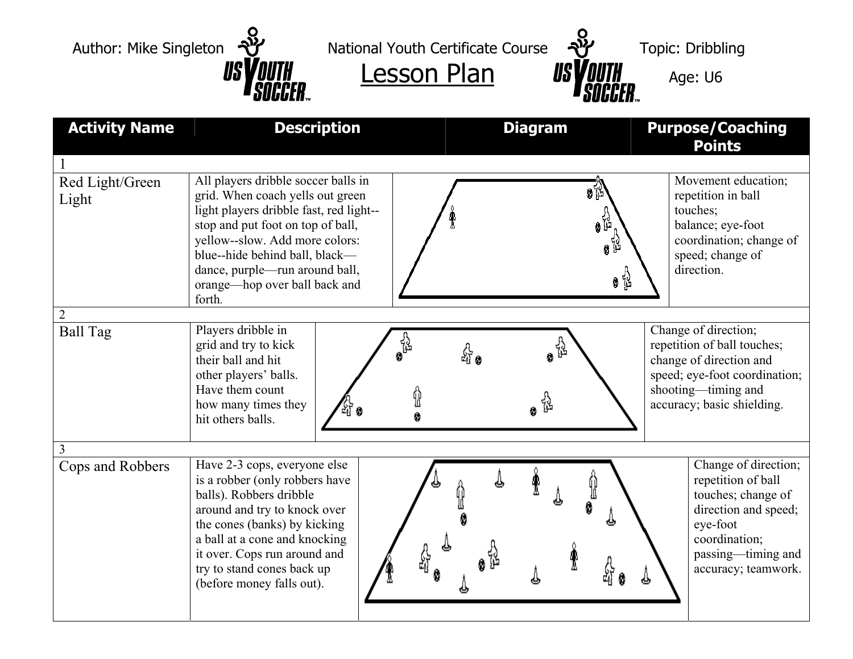Author: Mike Singleton  $\frac{1}{2}$  National Youth Certificate Course  $\frac{1}{2}$  Topic: Dribbling Lesson Plan  $US$ *VOUTH* Age: U6 Activity Name **Description Diagram Purpose/Coaching Points** 1 All players dribble soccer balls in Red Light/Green Movement education; 0 ប្រ grid. When coach yells out green repetition in ball Light light players dribble fast, red light- touches; balance; eye-foot stop and put foot on top of ball, yellow--slow. Add more colors: coordination; change of blue--hide behind ball, black speed; change of dance, purple—run around ball, direction. ●铭 orange—hop over ball back and forth. 2 Ball Tag Players dribble in Change of direction; ្លុង<br>៖ べき grid and try to kick repetition of ball touches; 삶• change of direction and their ball and hit speed; eye-foot coordination; other players' balls. Have them count shooting—timing and Ÿ ្លូ how many times they accuracy; basic shielding. Ô hit others balls. 3 Change of direction; Cops and Robbers | Have 2-3 cops, everyone else is a robber (only robbers have repetition of ball balls). Robbers dribble touches; change of around and try to knock over direction and speed; the cones (banks) by kicking eye-foot a ball at a cone and knocking coordination;

> it over. Cops run around and try to stand cones back up (before money falls out).

passing—timing and accuracy; teamwork.